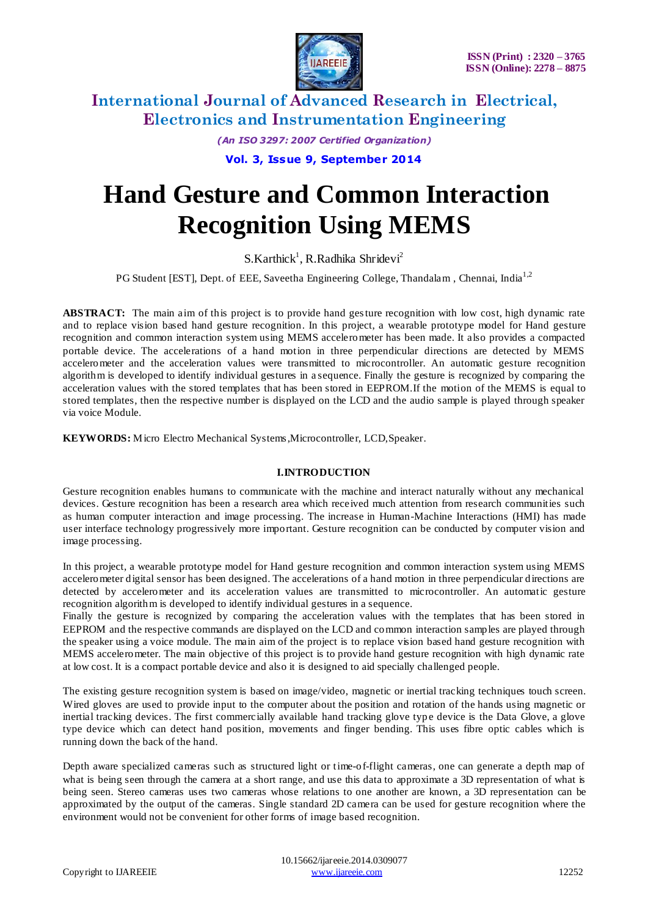

*(An ISO 3297: 2007 Certified Organization)*

**Vol. 3, Issue 9, September 2014**

# **Hand Gesture and Common Interaction Recognition Using MEMS**

 $S.Karthick<sup>1</sup>, R.Radhika Shridevi<sup>2</sup>$ 

PG Student [EST], Dept. of EEE, Saveetha Engineering College, Thandalam, Chennai, India<sup>1,2</sup>

**ABSTRACT:** The main aim of this project is to provide hand gesture recognition with low cost, high dynamic rate and to replace vision based hand gesture recognition. In this project, a wearable prototype model for Hand gesture recognition and common interaction system using MEMS accelerometer has been made. It also provides a compacted portable device. The accelerations of a hand motion in three perpendicular directions are detected by MEMS accelerometer and the acceleration values were transmitted to microcontroller. An automatic gesture recognition algorithm is developed to identify individual gestures in a sequence. Finally the gesture is recognized by comparing the acceleration values with the stored templates that has been stored in EEPROM.If the motion of the MEMS is equal to stored templates, then the respective number is displayed on the LCD and the audio sample is played through speaker via voice Module.

**KEYWORDS:** Micro Electro Mechanical Systems,Microcontroller, LCD,Speaker.

#### **I.INTRODUCTION**

Gesture recognition enables humans to communicate with the machine and interact naturally without any mechanical devices. Gesture recognition has been a research area which received much attention from research communities such as human computer interaction and image processing. The increase in Human-Machine Interactions (HMI) has made user interface technology progressively more important. Gesture recognition can be conducted by computer vision and image processing.

In this project, a wearable prototype model for Hand gesture recognition and common interaction system using MEMS accelerometer digital sensor has been designed. The accelerations of a hand motion in three perpendicular directions are detected by accelerometer and its acceleration values are transmitted to microcontroller. An automatic gesture recognition algorithm is developed to identify individual gestures in a sequence.

Finally the gesture is recognized by comparing the acceleration values with the templates that has been stored in EEPROM and the respective commands are displayed on the LCD and common interaction samples are played through the speaker using a voice module. The main aim of the project is to replace vision based hand gesture recognition with MEMS accelerometer. The main objective of this project is to provide hand gesture recognition with high dynamic rate at low cost. It is a compact portable device and also it is designed to aid specially challenged people.

The existing gesture recognition system is based on image/video, magnetic or inertial tracking techniques touch screen. Wired gloves are used to provide input to the computer about the position and rotation of the hands using magnetic or inertial tracking devices. The first commercially available hand tracking glove type device is the Data Glove, a glove type device which can detect hand position, movements and finger bending. This uses fibre optic cables which is running down the back of the hand.

Depth aware specialized cameras such as [structured light](http://en.wikipedia.org/wiki/Structured_light) or [time-of-flight cameras,](http://en.wikipedia.org/wiki/Time-of-flight_camera) one can generate a depth map of what is being seen through the camera at a short range, and use this data to approximate a 3D representation of what is being seen. [Stereo cameras](http://en.wikipedia.org/wiki/Stereo_cameras) uses two cameras whose relations to one another are known, a 3D representation can be approximated by the output of the cameras. Single standard 2D camera can be used for gesture recognition where the environment would not be convenient for other forms of image based recognition.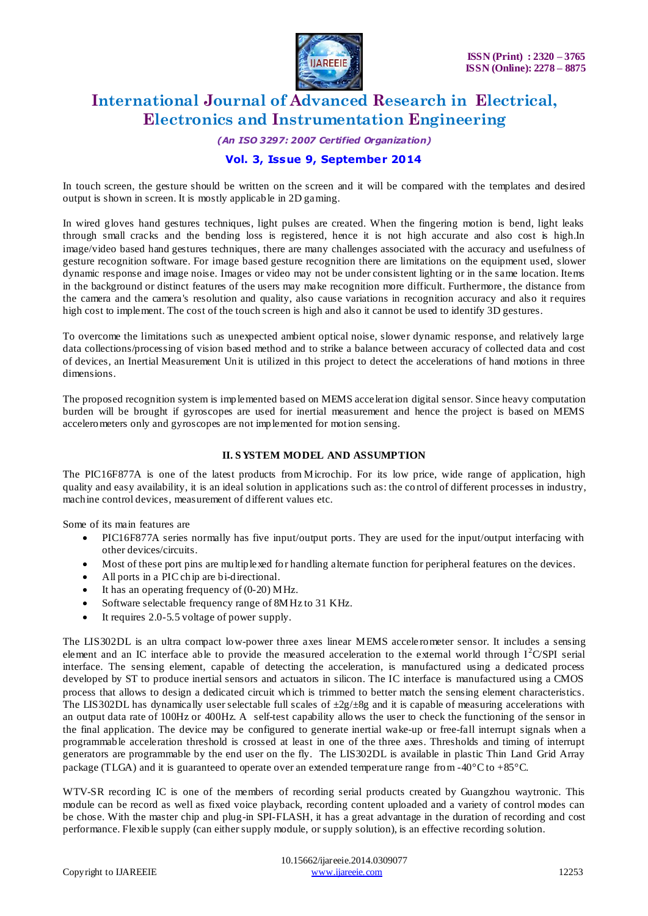

*(An ISO 3297: 2007 Certified Organization)*

### **Vol. 3, Issue 9, September 2014**

In touch screen, the gesture should be written on the screen and it will be compared with the templates and desired output is shown in screen. It is mostly applicable in 2D gaming.

In wired gloves hand gestures techniques, light pulses are created. When the fingering motion is bend, light leaks through small cracks and the bending loss is registered, hence it is not high accurate and also cost is high.In image/video based hand gestures techniques, there are many challenges associated with the accuracy and usefulness of gesture recognition software. For image based gesture recognition there are limitations on the equipment used, slower dynamic response an[d image noise.](http://en.wikipedia.org/wiki/Image_noise) Images or video may not be under consistent lighting or in the same location. Items in the background or distinct features of the users may make recognition more difficult. Furthermore, the distance from the camera and the camera's resolution and quality, also cause variations in recognition accuracy and also it requires high cost to implement. The cost of the touch screen is high and also it cannot be used to identify 3D gestures.

To overcome the limitations such as unexpected ambient optical noise, slower dynamic response, and relatively large data collections/processing of vision based method and to strike a balance between accuracy of collected data and cost of devices, an Inertial Measurement Unit is utilized in this project to detect the accelerations of hand motions in three dimensions.

The proposed recognition system is implemented based on MEMS acceleration digital sensor. Since heavy computation burden will be brought if gyroscopes are used for inertial measurement and hence the project is based on MEMS accelerometers only and gyroscopes are not implemented for motion sensing.

#### **II. S YSTEM MODEL AND ASSUMPTION**

The PIC16F877A is one of the latest products from Microchip. For its low price, wide range of application, high quality and easy availability, it is an ideal solution in applications such as: the co ntrol of different processes in industry, machine control devices, measurement of different values etc.

Some of its main features are

- PIC16F877A series normally has five input/output ports. They are used for the input/output interfacing with other devices/circuits.
- Most of these port pins are multiplexed for handling alternate function for peripheral features on the devices.
- All ports in a PIC chip are bi-directional.
- It has an operating frequency of (0-20) MHz.
- Software selectable frequency range of 8MHz to 31 KHz.
- It requires 2.0-5.5 voltage of power supply.

The LIS302DL is an ultra compact low-power three axes linear MEMS accele rometer sensor. It includes a sensing element and an IC interface able to provide the measured acceleration to the external world through  $I^2C/SPI$  serial interface. The sensing element, capable of detecting the acceleration, is manufactured using a dedicated process developed by ST to produce inertial sensors and actuators in silicon. The IC interface is manufactured using a CMOS process that allows to design a dedicated circuit which is trimmed to better match the sensing element characteristics. The LIS302DL has dynamically user selectable full scales of  $\pm 2g/\pm 8g$  and it is capable of measuring accelerations with an output data rate of 100Hz or 400Hz. A self-test capability allows the user to check the functioning of the sensor in the final application. The device may be configured to generate inertial wake-up or free-fall interrupt signals when a programmable acceleration threshold is crossed at least in one of the three axes. Thresholds and timing of interrupt generators are programmable by the end user on the fly. The LIS302DL is available in plastic Thin Land Grid Array package (TLGA) and it is guaranteed to operate over an extended temperature range from -40°C to +85°C.

WTV-SR recording IC is one of the members of recording serial products created by Guangzhou waytronic. This module can be record as well as fixed voice playback, recording content uploaded and a variety of control modes can be chose. With the master chip and plug-in SPI-FLASH, it has a great advantage in the duration of recording and cost performance. Flexible supply (can either supply module, or supply solution), is an effective recording solution.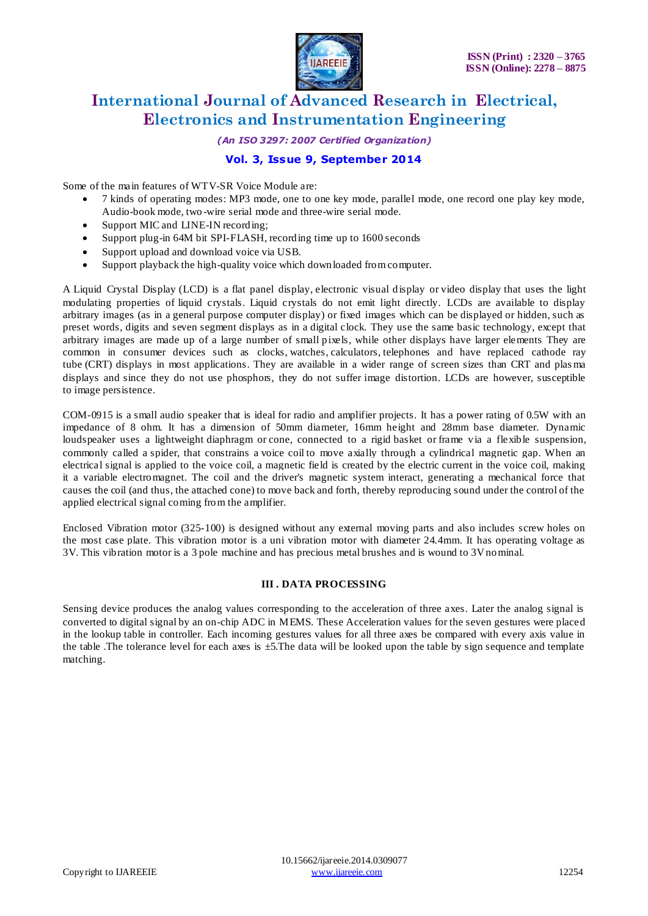

*(An ISO 3297: 2007 Certified Organization)*

### **Vol. 3, Issue 9, September 2014**

Some of the main features of WTV-SR Voice Module are:

- 7 kinds of operating modes: MP3 mode, one to one key mode, parallel mode, one record one play key mode, Audio-book mode, two -wire serial mode and three-wire serial mode.
- Support MIC and LINE-IN recording;
- Support plug-in 64M bit SPI-FLASH, recording time up to 1600 seconds
- Support upload and download voice via USB.
- Support playback the high-quality voice which downloaded from computer.

A Liquid Crystal Display (LCD) is a [flat panel display,](http://en.wikipedia.org/wiki/Flat_panel_display) [electronic visual display](http://en.wikipedia.org/wiki/Electronic_visual_display) or [video display](http://en.wikipedia.org/wiki/Video_display) that uses the light modulating properties of [liquid crystals.](http://en.wikipedia.org/wiki/Liquid_Crystals) Liquid crystals do not emit light directly. LCDs are available to display arbitrary images (as in a general purpose computer display) or fixed images which can be displayed or hidden, such as preset words, digits and [seven segment](http://en.wikipedia.org/wiki/7-segment) displays as in a [digital clock.](http://en.wikipedia.org/wiki/Digital_clock) They use the same basic technology, except that arbitrary images are made up of a large number of small [pixels,](http://en.wikipedia.org/wiki/Pixel) while other displays have larger elements They are common in consumer devices such as [clocks,](http://en.wikipedia.org/wiki/Clock) [watches,](http://en.wikipedia.org/wiki/Watch) [calculators,](http://en.wikipedia.org/wiki/Calculator) [telephones](http://en.wikipedia.org/wiki/Telephone) and have replaced [cathode](http://en.wikipedia.org/wiki/Cathode_ray_tube) ray [tube](http://en.wikipedia.org/wiki/Cathode_ray_tube) (CRT) displays in most applications. They are available in a wider range of screen sizes than CRT and [plas ma](http://en.wikipedia.org/wiki/Plasma_display)  [displays](http://en.wikipedia.org/wiki/Plasma_display) and since they do not use phosphors, they do not suffer [image distortion.](http://en.wikipedia.org/wiki/Screen_burn-in) LCDs are however, susceptible to [image persistence.](http://en.wikipedia.org/wiki/Image_persistence)

COM-0915 is a small audio speaker that is ideal for radio and amplifier projects. It has a power rating of 0.5W with an impedance of 8 ohm. It has a dimension of 50mm diameter, 16mm height and 28mm base diameter. Dynamic loudspeaker uses a lightweight [diaphragm](http://en.wikipedia.org/wiki/Diaphragm_(acoustics)) or cone, connected to a rigid basket or frame via a flexible suspension, commonly called a spider, that constrains a [voice coil](http://en.wikipedia.org/wiki/Voice_coil) to move axially through a cylindrical magnetic gap. When an electrical signal is applied to the [voice coil,](http://en.wikipedia.org/wiki/Voice_coil) a [magnetic field](http://en.wikipedia.org/wiki/Magnetic_field) is created by the electric [current](http://en.wikipedia.org/wiki/Current_(electricity)) in the voice coil, making it a variable electromagnet. The coil and the driver's magnetic system interact, generating a mechanical force that causes the coil (and thus, the attached cone) to move back and forth, thereby reproducing sound under the control of the applied electrical signal coming from the [amplifier.](http://en.wikipedia.org/wiki/Audio_power_amplifier)

Enclosed Vibration motor (325-100) is designed without any external moving parts and also includes screw holes on the most case plate. This vibration motor is a uni vibration motor with diameter 24.4mm. It has operating voltage as 3V. This vibration motor is a 3 pole machine and has precious metal brushes and is wound to 3V nominal.

#### **III . DATA PROCESSING**

Sensing device produces the analog values corresponding to the acceleration of three axes. Later the analog signal is converted to digital signal by an on-chip ADC in MEMS. These Acceleration values for the seven gestures were placed in the lookup table in controller. Each incoming gestures values for all three axes be compared with every axis value in the table .The tolerance level for each axes is ±5.The data will be looked upon the table by sign sequence and template matching.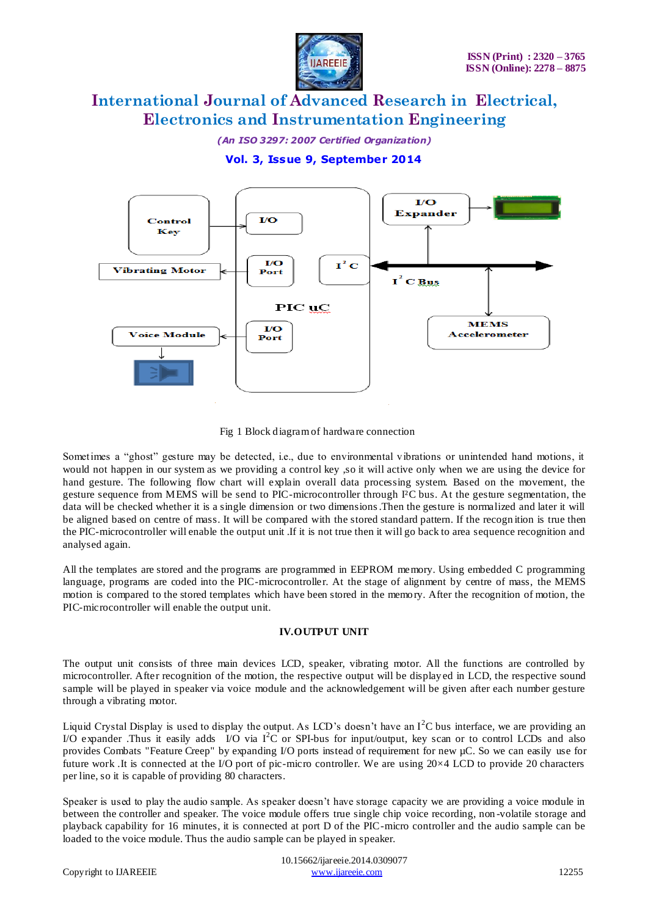

*(An ISO 3297: 2007 Certified Organization)*

**Vol. 3, Issue 9, September 2014**



Fig 1 Block diagram of hardware connection

Sometimes a "ghost" gesture may be detected, i.e., due to environmental vibrations or unintended hand motions, it would not happen in our system as we providing a control key ,so it will active only when we are using the device for hand gesture. The following flow chart will explain overall data processing system. Based on the movement, the gesture sequence from MEMS will be send to PIC-microcontroller through I²C bus. At the gesture segmentation, the data will be checked whether it is a single dimension or two dimensions.Then the gesture is normalized and later it will be aligned based on centre of mass. It will be compared with the stored standard pattern. If the recogn ition is true then the PIC-microcontroller will enable the output unit .If it is not true then it will go back to area sequence recognition and analysed again.

All the templates are stored and the programs are programmed in EEPROM memory. Using embedded C programming language, programs are coded into the PIC-microcontroller. At the stage of alignment by centre of mass, the MEMS motion is compared to the stored templates which have been stored in the memory. After the recognition of motion, the PIC-microcontroller will enable the output unit.

#### **IV.OUTPUT UNIT**

The output unit consists of three main devices LCD, speaker, vibrating motor. All the functions are controlled by microcontroller. After recognition of the motion, the respective output will be display ed in LCD, the respective sound sample will be played in speaker via voice module and the acknowledgement will be given after each number gesture through a vibrating motor.

Liquid Crystal Display is used to display the output. As LCD's doesn't have an  $I^2C$  bus interface, we are providing an I/O expander .Thus it easily adds I/O via  $I^2C$  or SPI-bus for input/output, key scan or to control LCDs and also provides Combats "Feature Creep" by expanding I/O ports instead of requirement for new µC. So we can easily use for future work .It is connected at the I/O port of pic-micro controller. We are using 20×4 LCD to provide 20 characters per line, so it is capable of providing 80 characters.

Speaker is used to play the audio sample. As speaker doesn't have storage capacity we are providing a voice module in between the controller and speaker. The voice module offers true single chip voice recording, non -volatile storage and playback capability for 16 minutes, it is connected at port D of the PIC-micro controller and the audio sample can be loaded to the voice module. Thus the audio sample can be played in speaker.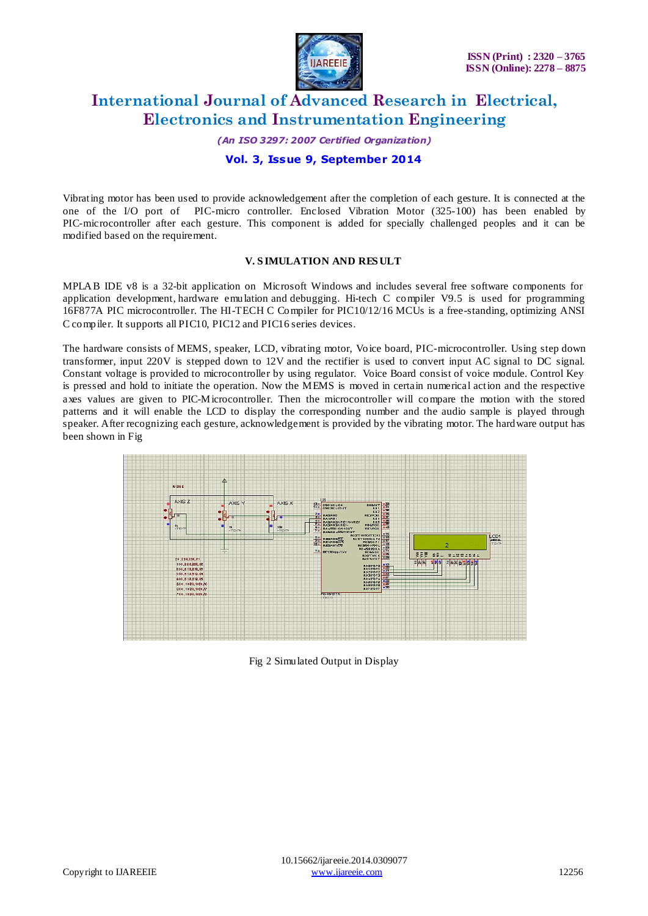

*(An ISO 3297: 2007 Certified Organization)*

### **Vol. 3, Issue 9, September 2014**

Vibrating motor has been used to provide acknowledgement after the completion of each gesture. It is connected at the one of the I/O port of PIC-micro controller. Enclosed Vibration Motor (325-100) has been enabled by PIC-microcontroller after each gesture. This component is added for specially challenged peoples and it can be modified based on the requirement.

#### **V. S IMULATION AND RES ULT**

MPLAB IDE v8 is a 32-bit application on [Microsoft Windows](http://en.wikipedia.org/wiki/Microsoft_Windows) and includes several free software components for [application development,](http://en.wikipedia.org/wiki/Application_software_development) [hardware emulation](http://en.wikipedia.org/wiki/Hardware_emulation) and [debugging.](http://en.wikipedia.org/wiki/Debugging) Hi-tech C compiler V9.5 is used for programming 16F877A PIC microcontroller. The HI-TECH C Compiler for PIC10/12/16 MCUs is a free-standing, optimizing ANSI C compiler. It supports all PIC10, PIC12 and PIC16 series devices.

The hardware consists of MEMS, speaker, LCD, vibrating motor, Voice board, PIC-microcontroller. Using step down transformer, input 220V is stepped down to 12V and the rectifier is used to convert input AC signal to DC signal. Constant voltage is provided to microcontroller by using regulator. Voice Board consist of voice module. Control Key is pressed and hold to initiate the operation. Now the MEMS is moved in certain numerical action and the respective axes values are given to PIC-Microcontroller. Then the microcontroller will compare the motion with the stored patterns and it will enable the LCD to display the corresponding number and the audio sample is played through speaker. After recognizing each gesture, acknowledgement is provided by the vibrating motor. The hardware output has been shown in Fig



Fig 2 Simulated Output in Display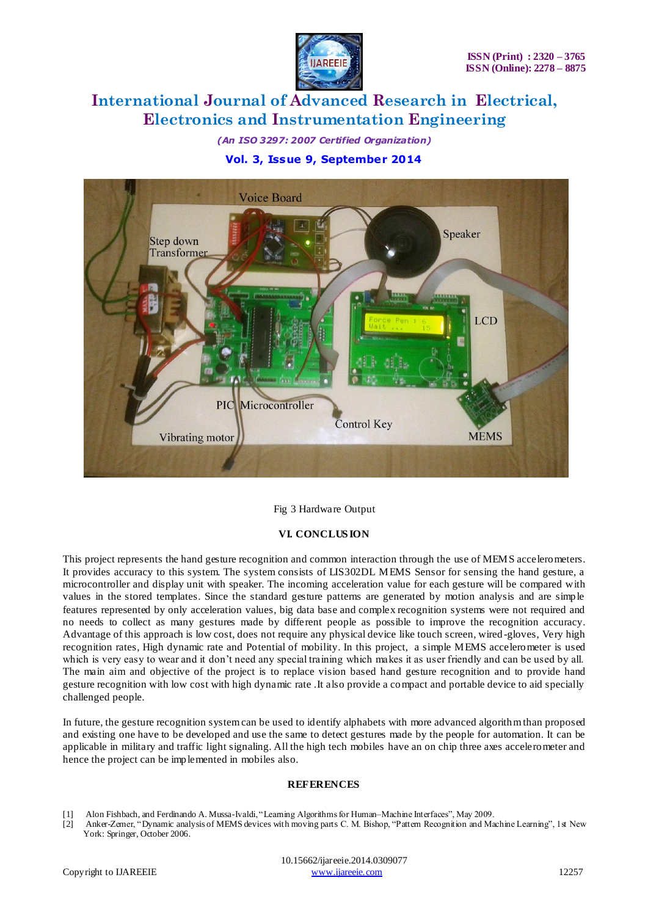

*(An ISO 3297: 2007 Certified Organization)* **Vol. 3, Issue 9, September 2014**



#### Fig 3 Hardware Output

#### **VI. CONCLUS ION**

This project represents the hand gesture recognition and common interaction through the use of MEMS accelerometers. It provides accuracy to this system. The system consists of LIS302DL MEMS Sensor for sensing the hand gesture, a microcontroller and display unit with speaker. The incoming acceleration value for each gesture will be compared with values in the stored templates. Since the standard gesture patterns are generated by motion analysis and are simple features represented by only acceleration values, big data base and complex recognition systems were not required and no needs to collect as many gestures made by different people as possible to improve the recognition accuracy. Advantage of this approach is low cost, does not require any physical device like touch screen, wired -gloves, Very high recognition rates, High dynamic rate and Potential of mobility. In this project, a simple MEMS accelerometer is used which is very easy to wear and it don't need any special training which makes it as user friendly and can be used by all. The main aim and objective of the project is to replace vision based hand gesture recognition and to provide hand gesture recognition with low cost with high dynamic rate .It also provide a compact and portable device to aid specially challenged people.

In future, the gesture recognition system can be used to identify alphabets with more advanced algorithm than proposed and existing one have to be developed and use the same to detect gestures made by the people for automation. It can be applicable in military and traffic light signaling. All the high tech mobiles have an on chip three axes accelerometer and hence the project can be implemented in mobiles also.

#### **REFERENCES**

- [1] Alon Fishbach, and Ferdinando A. Mussa-Ivaldi, "Learning Algorithms for Human–Machine Interfaces", May 2009.
- [2] Anker-Zemer, "Dynamic analysis of MEMS devices with moving parts C. M. Bishop, "Pattern Recognition and Machine Learning", 1st New York: Springer, October 2006.